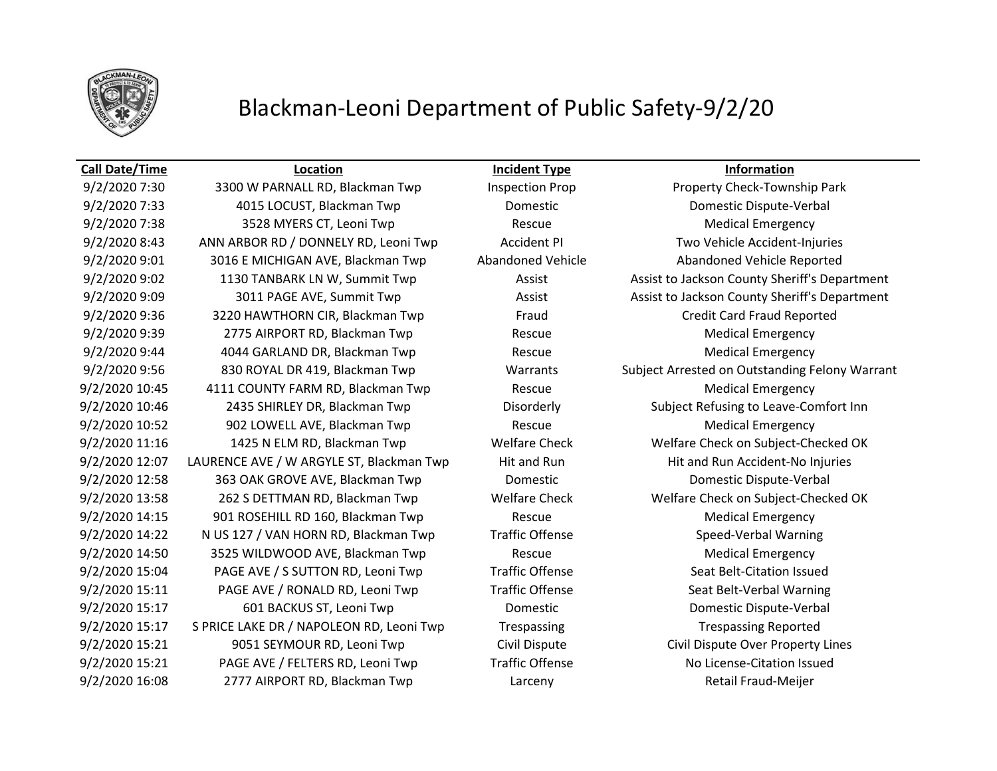

# Blackman-Leoni Department of Public Safety-9/2/20

9/2/2020 7:30 3300 W PARNALL RD, Blackman Twp Inspection Prop Property Check-Township Park 9/2/2020 7:33 4015 LOCUST, Blackman Twp Domestic Domestic Dispute-Verbal 9/2/2020 7:38 3528 MYERS CT, Leoni Twp Rescue Rescue Medical Emergency 9/2/2020 8:43 ANN ARBOR RD / DONNELY RD, Leoni Twp Accident PI Two Vehicle Accident-Injuries 9/2/2020 9:01 3016 E MICHIGAN AVE, Blackman Twp Abandoned Vehicle Abandoned Vehicle Reported 9/2/2020 9:02 1130 TANBARK LN W, Summit Twp **Assist Assist Leave Assist County Sheriff's Department** 9/2/2020 9:09 3011 PAGE AVE, Summit Twp Assist Assist Assist to Jackson County Sheriff's Department 9/2/2020 9:36 3220 HAWTHORN CIR, Blackman Twp Fraud Credit Card Fraud Reported 9/2/2020 9:39 2775 AIRPORT RD, Blackman Twp Rescue Rescue Medical Emergency 9/2/2020 9:44 4044 GARLAND DR, Blackman Twp Rescue Medical Emergency 9/2/2020 9:56 830 ROYAL DR 419, Blackman Twp Warrants Subject Arrested on Outstanding Felony Warrant 9/2/2020 10:45 4111 COUNTY FARM RD, Blackman Twp Rescue Medical Emergency 9/2/2020 10:46 2435 SHIRLEY DR, Blackman Twp Disorderly Subject Refusing to Leave-Comfort Inn 9/2/2020 10:52 902 LOWELL AVE, Blackman Twp Rescue Medical Emergency 9/2/2020 11:16 1425 N ELM RD, Blackman Twp Welfare Check Welfare Check on Subject-Checked OK 9/2/2020 12:07 LAURENCE AVE / W ARGYLE ST, Blackman Twp Hit and Run Hit and Run Hit and Run Accident-No Injuries 9/2/2020 12:58 363 OAK GROVE AVE, Blackman Twp Domestic Domestic Dispute-Verbal 9/2/2020 13:58 262 S DETTMAN RD, Blackman Twp Welfare Check Welfare Check on Subject-Checked OK 9/2/2020 14:15 901 ROSEHILL RD 160, Blackman Twp Rescue Rescue Medical Emergency 9/2/2020 14:22 N US 127 / VAN HORN RD, Blackman Twp Traffic Offense Speed-Verbal Warning 9/2/2020 14:50 3525 WILDWOOD AVE, Blackman Twp Rescue Medical Emergency 9/2/2020 15:04 PAGE AVE / S SUTTON RD, Leoni Twp Traffic Offense Seat Belt-Citation Issued 9/2/2020 15:11 PAGE AVE / RONALD RD, Leoni Twp Traffic Offense Seat Belt-Verbal Warning 9/2/2020 15:17 601 BACKUS ST, Leoni Twp Domestic Domestic Dispute-Verbal 9/2/2020 15:17 S PRICE LAKE DR / NAPOLEON RD, Leoni Twp Trespassing Trespassing Trespassing Reported 9/2/2020 15:21 9051 SEYMOUR RD, Leoni Twp Civil Dispute Civil Dispute Over Property Lines 9/2/2020 15:21 PAGE AVE / FELTERS RD, Leoni Twp Traffic Offense No License-Citation Issued 9/2/2020 16:08 2777 AIRPORT RD, Blackman Twp Larceny Retail Fraud-Meijer

**Call Date/Time Location Incident Type Information**